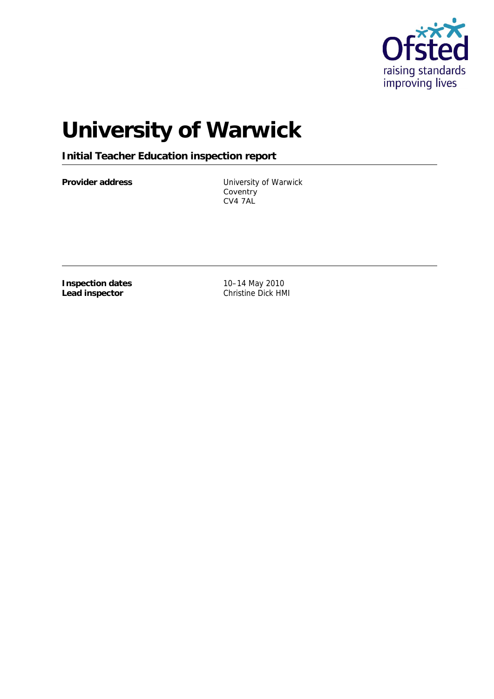

# **University of Warwick**

**Initial Teacher Education inspection report**

Provider address **Exercise State Service Control** University of Warwick **Coventry** CV4 7AL

**Inspection dates Lead inspector**

10–14 May 2010 Christine Dick HMI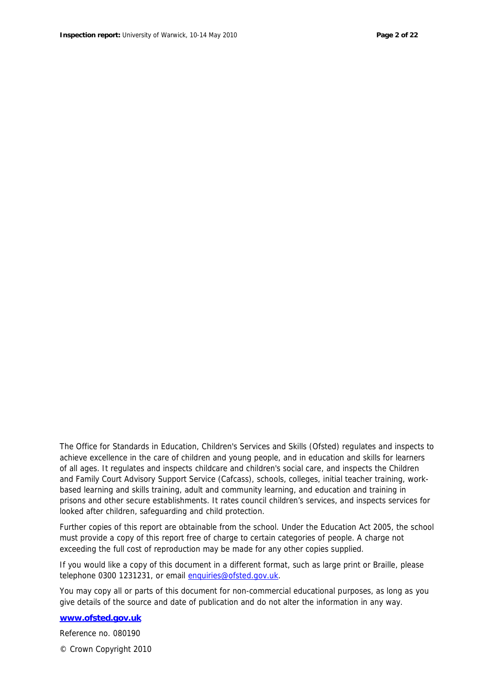The Office for Standards in Education, Children's Services and Skills (Ofsted) regulates and inspects to achieve excellence in the care of children and young people, and in education and skills for learners of all ages. It regulates and inspects childcare and children's social care, and inspects the Children and Family Court Advisory Support Service (Cafcass), schools, colleges, initial teacher training, workbased learning and skills training, adult and community learning, and education and training in prisons and other secure establishments. It rates council children's services, and inspects services for looked after children, safeguarding and child protection.

Further copies of this report are obtainable from the school. Under the Education Act 2005, the school must provide a copy of this report free of charge to certain categories of people. A charge not exceeding the full cost of reproduction may be made for any other copies supplied.

If you would like a copy of this document in a different format, such as large print or Braille, please telephone 0300 1231231, or email enquiries@ofsted.gov.uk.

You may copy all or parts of this document for non-commercial educational purposes, as long as you give details of the source and date of publication and do not alter the information in any way.

**www.ofsted.gov.uk**

Reference no. 080190

© Crown Copyright 2010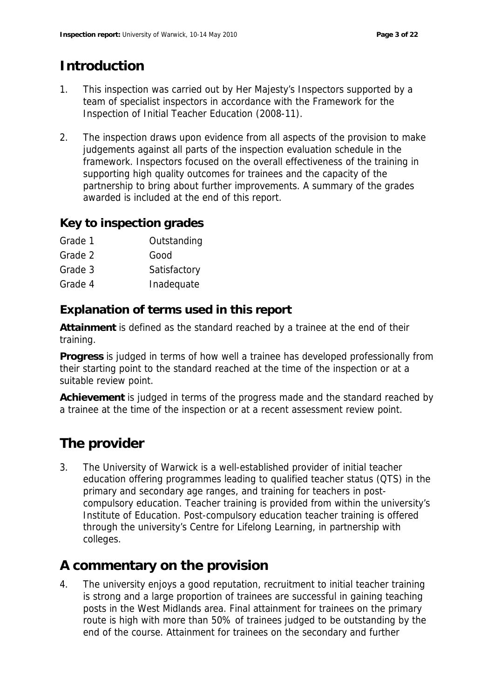# **Introduction**

- 1. This inspection was carried out by Her Majesty's Inspectors supported by a team of specialist inspectors in accordance with the *Framework for the Inspection of Initial Teacher Education (2008-11)*.
- 2. The inspection draws upon evidence from all aspects of the provision to make judgements against all parts of the inspection evaluation schedule in the framework. Inspectors focused on the overall effectiveness of the training in supporting high quality outcomes for trainees and the capacity of the partnership to bring about further improvements. A summary of the grades awarded is included at the end of this report.

### **Key to inspection grades**

- Grade 1 **Outstanding**
- Grade 2 Good
- Grade 3 Satisfactory
- Grade 4 Inadequate

### **Explanation of terms used in this report**

**Attainment** is defined as the standard reached by a trainee at the end of their training.

**Progress** is judged in terms of how well a trainee has developed professionally from their starting point to the standard reached at the time of the inspection or at a suitable review point.

**Achievement** is judged in terms of the progress made and the standard reached by a trainee at the time of the inspection or at a recent assessment review point.

# **The provider**

3. The University of Warwick is a well-established provider of initial teacher education offering programmes leading to qualified teacher status (QTS) in the primary and secondary age ranges, and training for teachers in postcompulsory education. Teacher training is provided from within the university's Institute of Education. Post-compulsory education teacher training is offered through the university's Centre for Lifelong Learning, in partnership with colleges.

# **A commentary on the provision**

4. The university enjoys a good reputation, recruitment to initial teacher training is strong and a large proportion of trainees are successful in gaining teaching posts in the West Midlands area. Final attainment for trainees on the primary route is high with more than 50% of trainees judged to be outstanding by the end of the course. Attainment for trainees on the secondary and further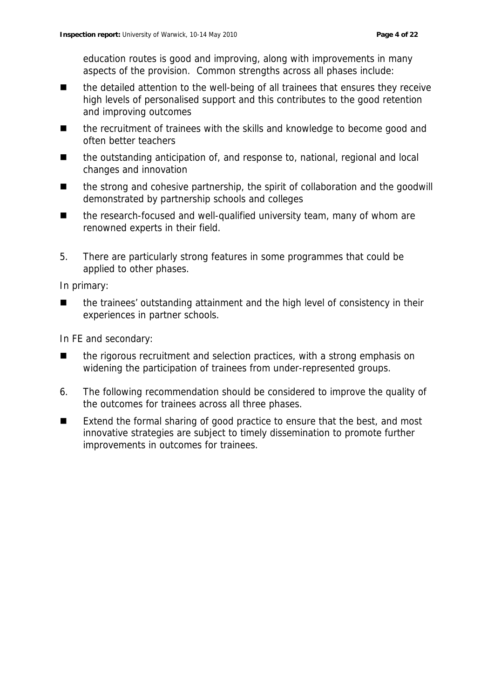education routes is good and improving, along with improvements in many aspects of the provision. Common strengths across all phases include:

- the detailed attention to the well-being of all trainees that ensures they receive high levels of personalised support and this contributes to the good retention and improving outcomes
- the recruitment of trainees with the skills and knowledge to become good and often better teachers
- the outstanding anticipation of, and response to, national, regional and local changes and innovation
- the strong and cohesive partnership, the spirit of collaboration and the goodwill demonstrated by partnership schools and colleges
- the research-focused and well-qualified university team, many of whom are renowned experts in their field.
- 5. There are particularly strong features in some programmes that could be applied to other phases.

In primary:

 the trainees' outstanding attainment and the high level of consistency in their experiences in partner schools.

In FE and secondary:

- the rigorous recruitment and selection practices, with a strong emphasis on widening the participation of trainees from under-represented groups.
- 6. The following recommendation should be considered to improve the quality of the outcomes for trainees across all three phases.
- Extend the formal sharing of good practice to ensure that the best, and most innovative strategies are subject to timely dissemination to promote further improvements in outcomes for trainees.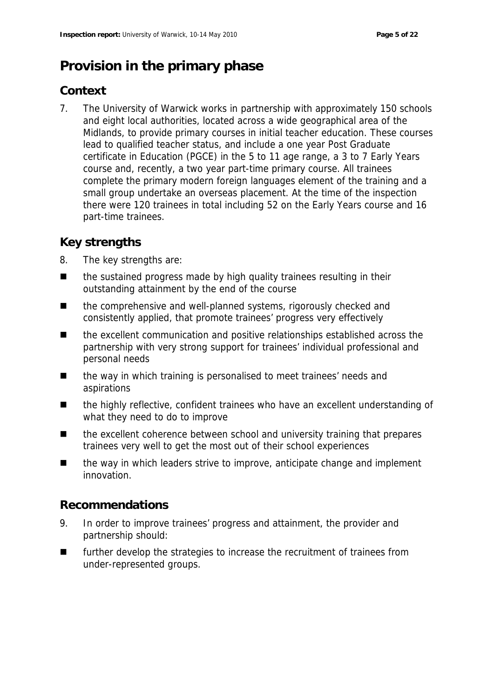# **Provision in the primary phase**

### **Context**

7. The University of Warwick works in partnership with approximately 150 schools and eight local authorities, located across a wide geographical area of the Midlands, to provide primary courses in initial teacher education. These courses lead to qualified teacher status, and include a one year Post Graduate certificate in Education (PGCE) in the 5 to 11 age range, a 3 to 7 Early Years course and, recently, a two year part-time primary course. All trainees complete the primary modern foreign languages element of the training and a small group undertake an overseas placement. At the time of the inspection there were 120 trainees in total including 52 on the Early Years course and 16 part-time trainees.

### **Key strengths**

- 8. The key strengths are:
- $\blacksquare$  the sustained progress made by high quality trainees resulting in their outstanding attainment by the end of the course
- the comprehensive and well-planned systems, rigorously checked and consistently applied, that promote trainees' progress very effectively
- the excellent communication and positive relationships established across the partnership with very strong support for trainees' individual professional and personal needs
- the way in which training is personalised to meet trainees' needs and aspirations
- the highly reflective, confident trainees who have an excellent understanding of what they need to do to improve
- the excellent coherence between school and university training that prepares trainees very well to get the most out of their school experiences
- the way in which leaders strive to improve, anticipate change and implement innovation.

### **Recommendations**

- 9. In order to improve trainees' progress and attainment, the provider and partnership should:
- **EXECUTE:** further develop the strategies to increase the recruitment of trainees from under-represented groups.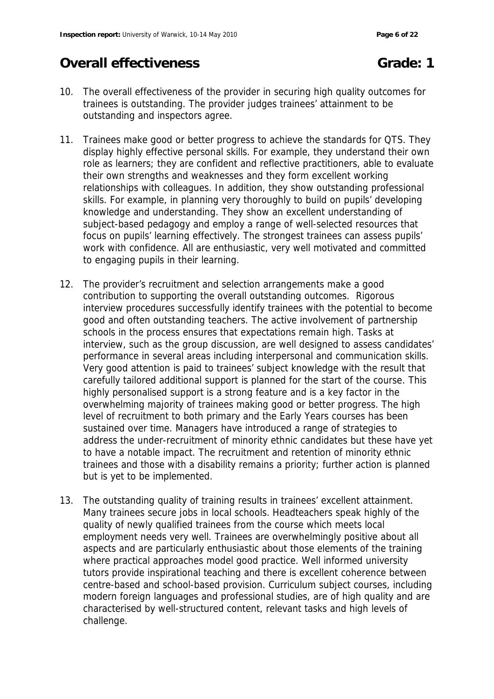# **Overall effectiveness Grade: 1**

- 10. The overall effectiveness of the provider in securing high quality outcomes for trainees is outstanding. The provider judges trainees' attainment to be outstanding and inspectors agree.
- 11. Trainees make good or better progress to achieve the standards for QTS. They display highly effective personal skills. For example, they understand their own role as learners; they are confident and reflective practitioners, able to evaluate their own strengths and weaknesses and they form excellent working relationships with colleagues. In addition, they show outstanding professional skills. For example, in planning very thoroughly to build on pupils' developing knowledge and understanding. They show an excellent understanding of subject-based pedagogy and employ a range of well-selected resources that focus on pupils' learning effectively. The strongest trainees can assess pupils' work with confidence. All are enthusiastic, very well motivated and committed to engaging pupils in their learning.
- 12. The provider's recruitment and selection arrangements make a good contribution to supporting the overall outstanding outcomes. Rigorous interview procedures successfully identify trainees with the potential to become good and often outstanding teachers. The active involvement of partnership schools in the process ensures that expectations remain high. Tasks at interview, such as the group discussion, are well designed to assess candidates' performance in several areas including interpersonal and communication skills. Very good attention is paid to trainees' subject knowledge with the result that carefully tailored additional support is planned for the start of the course. This highly personalised support is a strong feature and is a key factor in the overwhelming majority of trainees making good or better progress. The high level of recruitment to both primary and the Early Years courses has been sustained over time. Managers have introduced a range of strategies to address the under-recruitment of minority ethnic candidates but these have yet to have a notable impact. The recruitment and retention of minority ethnic trainees and those with a disability remains a priority; further action is planned but is yet to be implemented.
- 13. The outstanding quality of training results in trainees' excellent attainment. Many trainees secure jobs in local schools. Headteachers speak highly of the quality of newly qualified trainees from the course which meets local employment needs very well. Trainees are overwhelmingly positive about all aspects and are particularly enthusiastic about those elements of the training where practical approaches model good practice. Well informed university tutors provide inspirational teaching and there is excellent coherence between centre-based and school-based provision. Curriculum subject courses, including modern foreign languages and professional studies, are of high quality and are characterised by well-structured content, relevant tasks and high levels of challenge.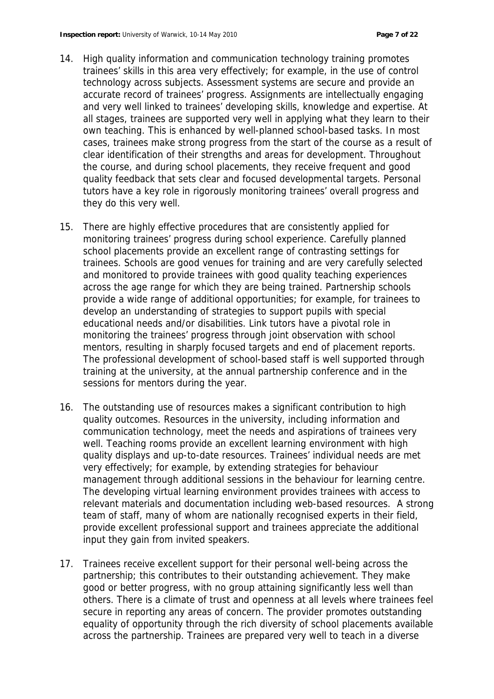- 14. High quality information and communication technology training promotes trainees' skills in this area very effectively; for example, in the use of control technology across subjects. Assessment systems are secure and provide an accurate record of trainees' progress. Assignments are intellectually engaging and very well linked to trainees' developing skills, knowledge and expertise. At all stages, trainees are supported very well in applying what they learn to their own teaching. This is enhanced by well-planned school-based tasks. In most cases, trainees make strong progress from the start of the course as a result of clear identification of their strengths and areas for development. Throughout the course, and during school placements, they receive frequent and good quality feedback that sets clear and focused developmental targets. Personal tutors have a key role in rigorously monitoring trainees' overall progress and they do this very well.
- 15. There are highly effective procedures that are consistently applied for monitoring trainees' progress during school experience. Carefully planned school placements provide an excellent range of contrasting settings for trainees. Schools are good venues for training and are very carefully selected and monitored to provide trainees with good quality teaching experiences across the age range for which they are being trained. Partnership schools provide a wide range of additional opportunities; for example, for trainees to develop an understanding of strategies to support pupils with special educational needs and/or disabilities. Link tutors have a pivotal role in monitoring the trainees' progress through joint observation with school mentors, resulting in sharply focused targets and end of placement reports. The professional development of school-based staff is well supported through training at the university, at the annual partnership conference and in the sessions for mentors during the year.
- 16. The outstanding use of resources makes a significant contribution to high quality outcomes. Resources in the university, including information and communication technology, meet the needs and aspirations of trainees very well. Teaching rooms provide an excellent learning environment with high quality displays and up-to-date resources. Trainees' individual needs are met very effectively; for example, by extending strategies for behaviour management through additional sessions in the behaviour for learning centre. The developing virtual learning environment provides trainees with access to relevant materials and documentation including web-based resources. A strong team of staff, many of whom are nationally recognised experts in their field, provide excellent professional support and trainees appreciate the additional input they gain from invited speakers.
- 17. Trainees receive excellent support for their personal well-being across the partnership; this contributes to their outstanding achievement. They make good or better progress, with no group attaining significantly less well than others. There is a climate of trust and openness at all levels where trainees feel secure in reporting any areas of concern. The provider promotes outstanding equality of opportunity through the rich diversity of school placements available across the partnership. Trainees are prepared very well to teach in a diverse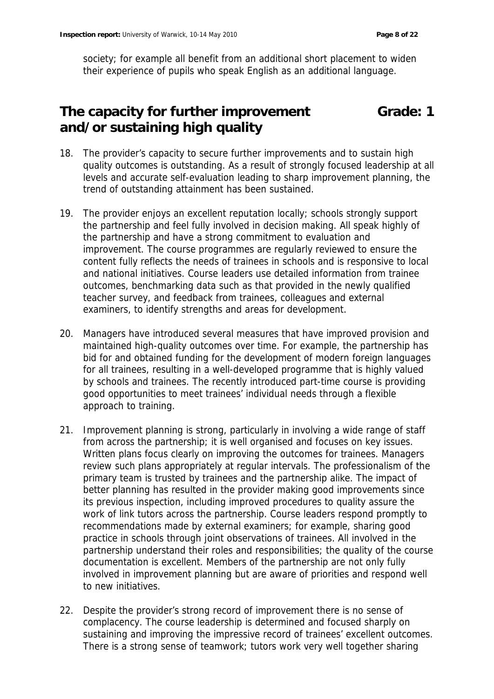society; for example all benefit from an additional short placement to widen their experience of pupils who speak English as an additional language.

### **The capacity for further improvement and/or sustaining high quality Grade: 1**

- 18. The provider's capacity to secure further improvements and to sustain high quality outcomes is outstanding. As a result of strongly focused leadership at all levels and accurate self-evaluation leading to sharp improvement planning, the trend of outstanding attainment has been sustained.
- 19. The provider enjoys an excellent reputation locally; schools strongly support the partnership and feel fully involved in decision making. All speak highly of the partnership and have a strong commitment to evaluation and improvement. The course programmes are regularly reviewed to ensure the content fully reflects the needs of trainees in schools and is responsive to local and national initiatives. Course leaders use detailed information from trainee outcomes, benchmarking data such as that provided in the newly qualified teacher survey, and feedback from trainees, colleagues and external examiners, to identify strengths and areas for development.
- 20. Managers have introduced several measures that have improved provision and maintained high-quality outcomes over time. For example, the partnership has bid for and obtained funding for the development of modern foreign languages for all trainees, resulting in a well-developed programme that is highly valued by schools and trainees. The recently introduced part-time course is providing good opportunities to meet trainees' individual needs through a flexible approach to training.
- 21. Improvement planning is strong, particularly in involving a wide range of staff from across the partnership; it is well organised and focuses on key issues. Written plans focus clearly on improving the outcomes for trainees. Managers review such plans appropriately at regular intervals. The professionalism of the primary team is trusted by trainees and the partnership alike. The impact of better planning has resulted in the provider making good improvements since its previous inspection, including improved procedures to quality assure the work of link tutors across the partnership. Course leaders respond promptly to recommendations made by external examiners; for example, sharing good practice in schools through joint observations of trainees. All involved in the partnership understand their roles and responsibilities; the quality of the course documentation is excellent. Members of the partnership are not only fully involved in improvement planning but are aware of priorities and respond well to new initiatives.
- 22. Despite the provider's strong record of improvement there is no sense of complacency. The course leadership is determined and focused sharply on sustaining and improving the impressive record of trainees' excellent outcomes. There is a strong sense of teamwork; tutors work very well together sharing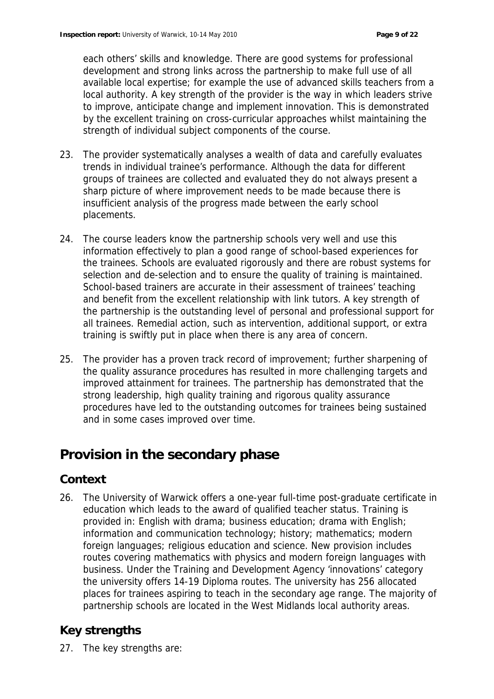each others' skills and knowledge. There are good systems for professional development and strong links across the partnership to make full use of all available local expertise; for example the use of advanced skills teachers from a local authority. A key strength of the provider is the way in which leaders strive to improve, anticipate change and implement innovation. This is demonstrated by the excellent training on cross-curricular approaches whilst maintaining the strength of individual subject components of the course.

- 23. The provider systematically analyses a wealth of data and carefully evaluates trends in individual trainee's performance. Although the data for different groups of trainees are collected and evaluated they do not always present a sharp picture of where improvement needs to be made because there is insufficient analysis of the progress made between the early school placements.
- 24. The course leaders know the partnership schools very well and use this information effectively to plan a good range of school-based experiences for the trainees. Schools are evaluated rigorously and there are robust systems for selection and de-selection and to ensure the quality of training is maintained. School-based trainers are accurate in their assessment of trainees' teaching and benefit from the excellent relationship with link tutors. A key strength of the partnership is the outstanding level of personal and professional support for all trainees. Remedial action, such as intervention, additional support, or extra training is swiftly put in place when there is any area of concern.
- 25. The provider has a proven track record of improvement; further sharpening of the quality assurance procedures has resulted in more challenging targets and improved attainment for trainees. The partnership has demonstrated that the strong leadership, high quality training and rigorous quality assurance procedures have led to the outstanding outcomes for trainees being sustained and in some cases improved over time.

# **Provision in the secondary phase**

# **Context**

26. The University of Warwick offers a one-year full-time post-graduate certificate in education which leads to the award of qualified teacher status. Training is provided in: English with drama; business education; drama with English; information and communication technology; history; mathematics; modern foreign languages; religious education and science. New provision includes routes covering mathematics with physics and modern foreign languages with business. Under the Training and Development Agency 'innovations' category the university offers 14-19 Diploma routes. The university has 256 allocated places for trainees aspiring to teach in the secondary age range. The majority of partnership schools are located in the West Midlands local authority areas.

# **Key strengths**

27. The key strengths are: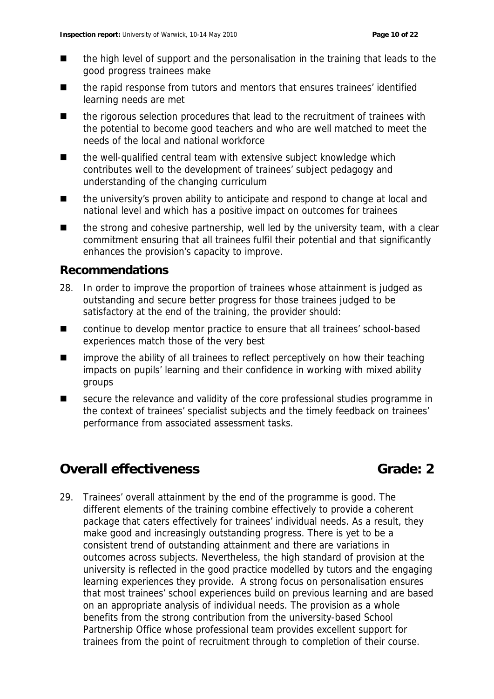- the high level of support and the personalisation in the training that leads to the good progress trainees make
- the rapid response from tutors and mentors that ensures trainees' identified learning needs are met
- the rigorous selection procedures that lead to the recruitment of trainees with the potential to become good teachers and who are well matched to meet the needs of the local and national workforce
- the well-qualified central team with extensive subject knowledge which contributes well to the development of trainees' subject pedagogy and understanding of the changing curriculum
- the university's proven ability to anticipate and respond to change at local and national level and which has a positive impact on outcomes for trainees
- the strong and cohesive partnership, well led by the university team, with a clear commitment ensuring that all trainees fulfil their potential and that significantly enhances the provision's capacity to improve.

### **Recommendations**

- 28. In order to improve the proportion of trainees whose attainment is judged as outstanding and secure better progress for those trainees judged to be satisfactory at the end of the training, the provider should:
- continue to develop mentor practice to ensure that all trainees' school-based experiences match those of the very best
- **IDEDUARY IDED** improve the ability of all trainees to reflect perceptively on how their teaching impacts on pupils' learning and their confidence in working with mixed ability groups
- secure the relevance and validity of the core professional studies programme in the context of trainees' specialist subjects and the timely feedback on trainees' performance from associated assessment tasks.

# **Overall effectiveness Grade: 2**

29. Trainees' overall attainment by the end of the programme is good. The different elements of the training combine effectively to provide a coherent package that caters effectively for trainees' individual needs. As a result, they make good and increasingly outstanding progress. There is yet to be a consistent trend of outstanding attainment and there are variations in outcomes across subjects. Nevertheless, the high standard of provision at the university is reflected in the good practice modelled by tutors and the engaging learning experiences they provide. A strong focus on personalisation ensures that most trainees' school experiences build on previous learning and are based on an appropriate analysis of individual needs. The provision as a whole benefits from the strong contribution from the university-based School Partnership Office whose professional team provides excellent support for trainees from the point of recruitment through to completion of their course.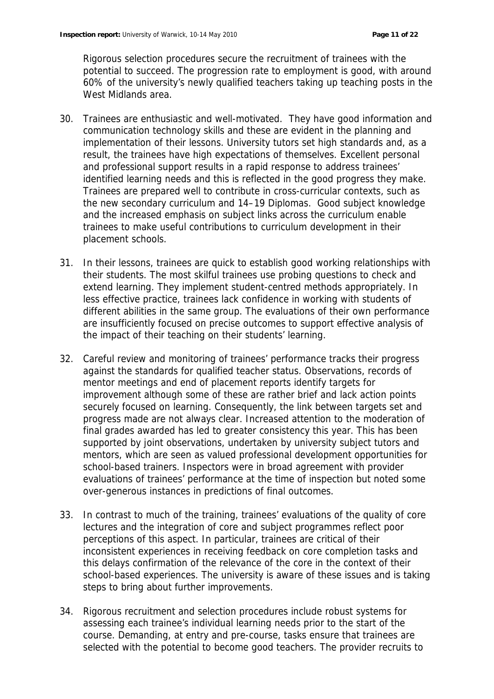Rigorous selection procedures secure the recruitment of trainees with the potential to succeed. The progression rate to employment is good, with around 60% of the university's newly qualified teachers taking up teaching posts in the West Midlands area.

- 30. Trainees are enthusiastic and well-motivated. They have good information and communication technology skills and these are evident in the planning and implementation of their lessons. University tutors set high standards and, as a result, the trainees have high expectations of themselves. Excellent personal and professional support results in a rapid response to address trainees' identified learning needs and this is reflected in the good progress they make. Trainees are prepared well to contribute in cross-curricular contexts, such as the new secondary curriculum and 14–19 Diplomas. Good subject knowledge and the increased emphasis on subject links across the curriculum enable trainees to make useful contributions to curriculum development in their placement schools.
- 31. In their lessons, trainees are quick to establish good working relationships with their students. The most skilful trainees use probing questions to check and extend learning. They implement student-centred methods appropriately. In less effective practice, trainees lack confidence in working with students of different abilities in the same group. The evaluations of their own performance are insufficiently focused on precise outcomes to support effective analysis of the impact of their teaching on their students' learning.
- 32. Careful review and monitoring of trainees' performance tracks their progress against the standards for qualified teacher status. Observations, records of mentor meetings and end of placement reports identify targets for improvement although some of these are rather brief and lack action points securely focused on learning. Consequently, the link between targets set and progress made are not always clear. Increased attention to the moderation of final grades awarded has led to greater consistency this year. This has been supported by joint observations, undertaken by university subject tutors and mentors, which are seen as valued professional development opportunities for school-based trainers. Inspectors were in broad agreement with provider evaluations of trainees' performance at the time of inspection but noted some over-generous instances in predictions of final outcomes.
- 33. In contrast to much of the training, trainees' evaluations of the quality of core lectures and the integration of core and subject programmes reflect poor perceptions of this aspect. In particular, trainees are critical of their inconsistent experiences in receiving feedback on core completion tasks and this delays confirmation of the relevance of the core in the context of their school-based experiences. The university is aware of these issues and is taking steps to bring about further improvements.
- 34. Rigorous recruitment and selection procedures include robust systems for assessing each trainee's individual learning needs prior to the start of the course. Demanding, at entry and pre-course, tasks ensure that trainees are selected with the potential to become good teachers. The provider recruits to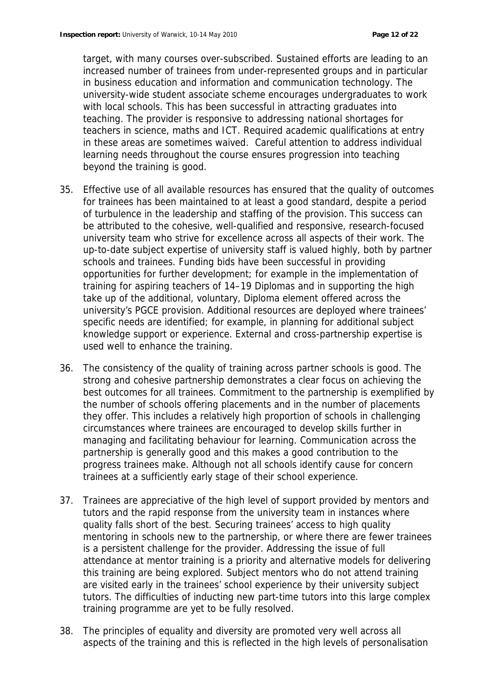target, with many courses over-subscribed. Sustained efforts are leading to an increased number of trainees from under-represented groups and in particular in business education and information and communication technology. The university-wide student associate scheme encourages undergraduates to work with local schools. This has been successful in attracting graduates into teaching. The provider is responsive to addressing national shortages for teachers in science, maths and ICT. Required academic qualifications at entry in these areas are sometimes waived. Careful attention to address individual learning needs throughout the course ensures progression into teaching beyond the training is good.

- 35. Effective use of all available resources has ensured that the quality of outcomes for trainees has been maintained to at least a good standard, despite a period of turbulence in the leadership and staffing of the provision. This success can be attributed to the cohesive, well-qualified and responsive, research-focused university team who strive for excellence across all aspects of their work. The up-to-date subject expertise of university staff is valued highly, both by partner schools and trainees. Funding bids have been successful in providing opportunities for further development; for example in the implementation of training for aspiring teachers of 14–19 Diplomas and in supporting the high take up of the additional, voluntary, Diploma element offered across the university's PGCE provision. Additional resources are deployed where trainees' specific needs are identified; for example, in planning for additional subject knowledge support or experience. External and cross-partnership expertise is used well to enhance the training.
- 36. The consistency of the quality of training across partner schools is good. The strong and cohesive partnership demonstrates a clear focus on achieving the best outcomes for all trainees. Commitment to the partnership is exemplified by the number of schools offering placements and in the number of placements they offer. This includes a relatively high proportion of schools in challenging circumstances where trainees are encouraged to develop skills further in managing and facilitating behaviour for learning. Communication across the partnership is generally good and this makes a good contribution to the progress trainees make. Although not all schools identify cause for concern trainees at a sufficiently early stage of their school experience.
- 37. Trainees are appreciative of the high level of support provided by mentors and tutors and the rapid response from the university team in instances where quality falls short of the best. Securing trainees' access to high quality mentoring in schools new to the partnership, or where there are fewer trainees is a persistent challenge for the provider. Addressing the issue of full attendance at mentor training is a priority and alternative models for delivering this training are being explored. Subject mentors who do not attend training are visited early in the trainees' school experience by their university subject tutors. The difficulties of inducting new part-time tutors into this large complex training programme are yet to be fully resolved.
- 38. The principles of equality and diversity are promoted very well across all aspects of the training and this is reflected in the high levels of personalisation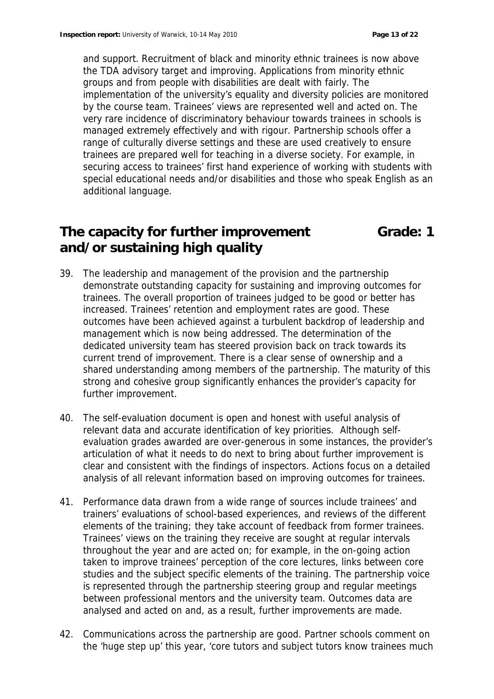and support. Recruitment of black and minority ethnic trainees is now above the TDA advisory target and improving. Applications from minority ethnic groups and from people with disabilities are dealt with fairly. The implementation of the university's equality and diversity policies are monitored by the course team. Trainees' views are represented well and acted on. The very rare incidence of discriminatory behaviour towards trainees in schools is managed extremely effectively and with rigour. Partnership schools offer a range of culturally diverse settings and these are used creatively to ensure trainees are prepared well for teaching in a diverse society. For example, in securing access to trainees' first hand experience of working with students with special educational needs and/or disabilities and those who speak English as an additional language.

# **The capacity for further improvement and/or sustaining high quality**

**Grade: 1**

- 39. The leadership and management of the provision and the partnership demonstrate outstanding capacity for sustaining and improving outcomes for trainees. The overall proportion of trainees judged to be good or better has increased. Trainees' retention and employment rates are good. These outcomes have been achieved against a turbulent backdrop of leadership and management which is now being addressed. The determination of the dedicated university team has steered provision back on track towards its current trend of improvement. There is a clear sense of ownership and a shared understanding among members of the partnership. The maturity of this strong and cohesive group significantly enhances the provider's capacity for further improvement.
- 40. The self-evaluation document is open and honest with useful analysis of relevant data and accurate identification of key priorities. Although selfevaluation grades awarded are over-generous in some instances, the provider's articulation of what it needs to do next to bring about further improvement is clear and consistent with the findings of inspectors. Actions focus on a detailed analysis of all relevant information based on improving outcomes for trainees.
- 41. Performance data drawn from a wide range of sources include trainees' and trainers' evaluations of school-based experiences, and reviews of the different elements of the training; they take account of feedback from former trainees. Trainees' views on the training they receive are sought at regular intervals throughout the year and are acted on; for example, in the on-going action taken to improve trainees' perception of the core lectures, links between core studies and the subject specific elements of the training. The partnership voice is represented through the partnership steering group and regular meetings between professional mentors and the university team. Outcomes data are analysed and acted on and, as a result, further improvements are made.
- 42. Communications across the partnership are good. Partner schools comment on the 'huge step up' this year, 'core tutors and subject tutors know trainees much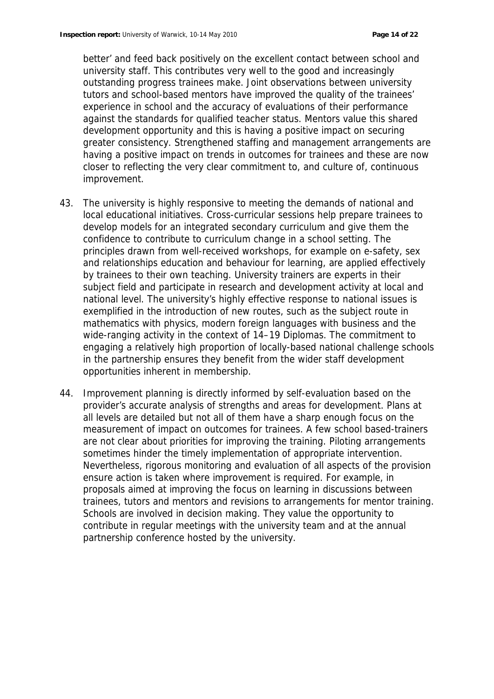better' and feed back positively on the excellent contact between school and university staff. This contributes very well to the good and increasingly outstanding progress trainees make. Joint observations between university tutors and school-based mentors have improved the quality of the trainees' experience in school and the accuracy of evaluations of their performance against the standards for qualified teacher status. Mentors value this shared development opportunity and this is having a positive impact on securing greater consistency. Strengthened staffing and management arrangements are having a positive impact on trends in outcomes for trainees and these are now closer to reflecting the very clear commitment to, and culture of, continuous improvement.

- 43. The university is highly responsive to meeting the demands of national and local educational initiatives. Cross-curricular sessions help prepare trainees to develop models for an integrated secondary curriculum and give them the confidence to contribute to curriculum change in a school setting. The principles drawn from well-received workshops, for example on e-safety, sex and relationships education and behaviour for learning, are applied effectively by trainees to their own teaching. University trainers are experts in their subject field and participate in research and development activity at local and national level. The university's highly effective response to national issues is exemplified in the introduction of new routes, such as the subject route in mathematics with physics, modern foreign languages with business and the wide-ranging activity in the context of 14–19 Diplomas. The commitment to engaging a relatively high proportion of locally-based national challenge schools in the partnership ensures they benefit from the wider staff development opportunities inherent in membership.
- 44. Improvement planning is directly informed by self-evaluation based on the provider's accurate analysis of strengths and areas for development. Plans at all levels are detailed but not all of them have a sharp enough focus on the measurement of impact on outcomes for trainees. A few school based-trainers are not clear about priorities for improving the training. Piloting arrangements sometimes hinder the timely implementation of appropriate intervention. Nevertheless, rigorous monitoring and evaluation of all aspects of the provision ensure action is taken where improvement is required. For example, in proposals aimed at improving the focus on learning in discussions between trainees, tutors and mentors and revisions to arrangements for mentor training. Schools are involved in decision making. They value the opportunity to contribute in regular meetings with the university team and at the annual partnership conference hosted by the university.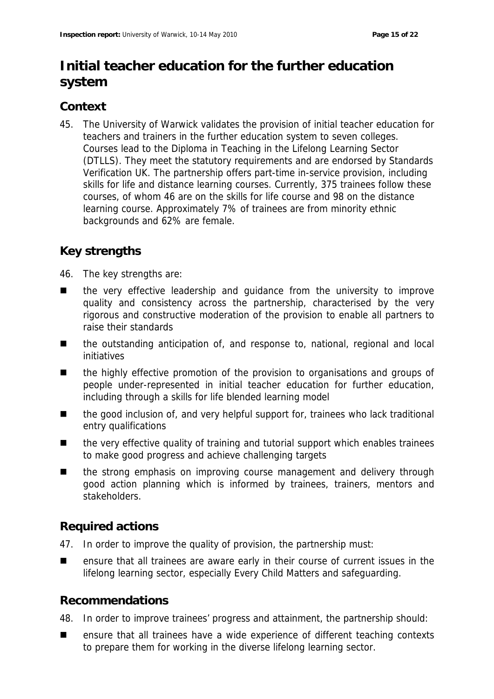# **Initial teacher education for the further education system**

# **Context**

45. The University of Warwick validates the provision of initial teacher education for teachers and trainers in the further education system to seven colleges. Courses lead to the Diploma in Teaching in the Lifelong Learning Sector (DTLLS). They meet the statutory requirements and are endorsed by Standards Verification UK. The partnership offers part-time in-service provision, including skills for life and distance learning courses. Currently, 375 trainees follow these courses, of whom 46 are on the skills for life course and 98 on the distance learning course. Approximately 7% of trainees are from minority ethnic backgrounds and 62% are female.

# **Key strengths**

- 46. The key strengths are:
- the very effective leadership and quidance from the university to improve quality and consistency across the partnership, characterised by the very rigorous and constructive moderation of the provision to enable all partners to raise their standards
- the outstanding anticipation of, and response to, national, regional and local initiatives
- the highly effective promotion of the provision to organisations and groups of people under-represented in initial teacher education for further education, including through a skills for life blended learning model
- the good inclusion of, and very helpful support for, trainees who lack traditional entry qualifications
- the very effective quality of training and tutorial support which enables trainees to make good progress and achieve challenging targets
- the strong emphasis on improving course management and delivery through good action planning which is informed by trainees, trainers, mentors and stakeholders.

### **Required actions**

- 47. In order to improve the quality of provision, the partnership must:
- ensure that all trainees are aware early in their course of current issues in the lifelong learning sector, especially Every Child Matters and safeguarding.

### **Recommendations**

- 48. In order to improve trainees' progress and attainment, the partnership should:
- ensure that all trainees have a wide experience of different teaching contexts to prepare them for working in the diverse lifelong learning sector.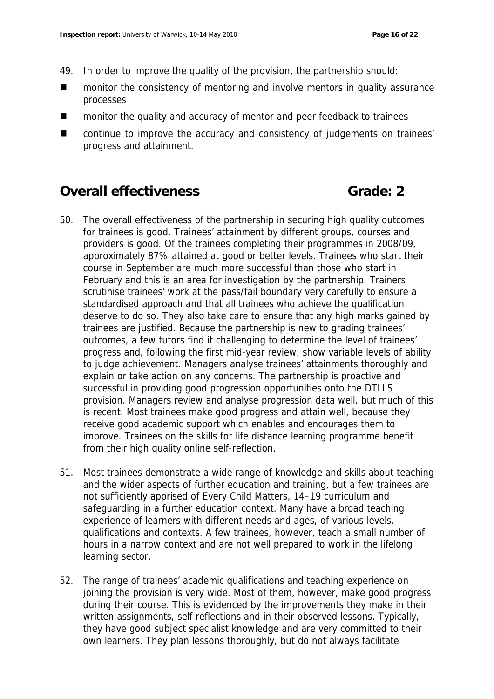- 49. In order to improve the quality of the provision, the partnership should:
- monitor the consistency of mentoring and involve mentors in quality assurance processes
- monitor the quality and accuracy of mentor and peer feedback to trainees
- continue to improve the accuracy and consistency of judgements on trainees' progress and attainment.

### **Overall effectiveness Grade: 2**

- 50. The overall effectiveness of the partnership in securing high quality outcomes for trainees is good. Trainees' attainment by different groups, courses and providers is good. Of the trainees completing their programmes in 2008/09, approximately 87% attained at good or better levels. Trainees who start their course in September are much more successful than those who start in February and this is an area for investigation by the partnership. Trainers scrutinise trainees' work at the pass/fail boundary very carefully to ensure a standardised approach and that all trainees who achieve the qualification deserve to do so. They also take care to ensure that any high marks gained by trainees are justified. Because the partnership is new to grading trainees' outcomes, a few tutors find it challenging to determine the level of trainees' progress and, following the first mid-year review, show variable levels of ability to judge achievement. Managers analyse trainees' attainments thoroughly and explain or take action on any concerns. The partnership is proactive and successful in providing good progression opportunities onto the DTLLS provision. Managers review and analyse progression data well, but much of this is recent. Most trainees make good progress and attain well, because they receive good academic support which enables and encourages them to improve. Trainees on the skills for life distance learning programme benefit from their high quality online self-reflection.
- 51. Most trainees demonstrate a wide range of knowledge and skills about teaching and the wider aspects of further education and training, but a few trainees are not sufficiently apprised of Every Child Matters, 14–19 curriculum and safeguarding in a further education context. Many have a broad teaching experience of learners with different needs and ages, of various levels, qualifications and contexts. A few trainees, however, teach a small number of hours in a narrow context and are not well prepared to work in the lifelong learning sector.
- 52. The range of trainees' academic qualifications and teaching experience on joining the provision is very wide. Most of them, however, make good progress during their course. This is evidenced by the improvements they make in their written assignments, self reflections and in their observed lessons. Typically, they have good subject specialist knowledge and are very committed to their own learners. They plan lessons thoroughly, but do not always facilitate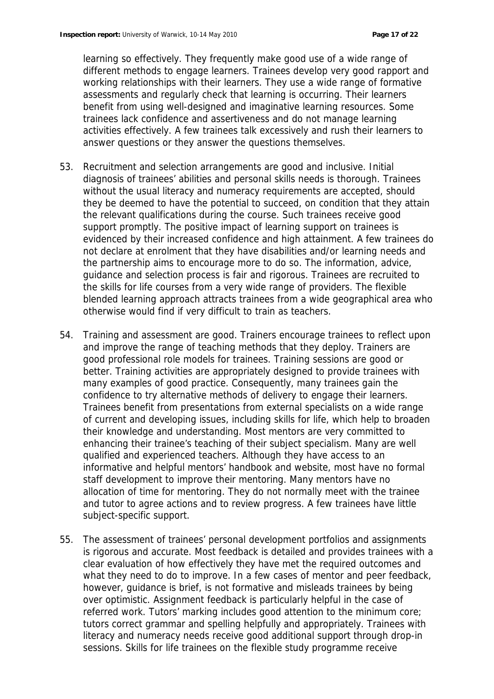learning so effectively. They frequently make good use of a wide range of different methods to engage learners. Trainees develop very good rapport and working relationships with their learners. They use a wide range of formative assessments and regularly check that learning is occurring. Their learners benefit from using well-designed and imaginative learning resources. Some trainees lack confidence and assertiveness and do not manage learning activities effectively. A few trainees talk excessively and rush their learners to answer questions or they answer the questions themselves.

- 53. Recruitment and selection arrangements are good and inclusive. Initial diagnosis of trainees' abilities and personal skills needs is thorough. Trainees without the usual literacy and numeracy requirements are accepted, should they be deemed to have the potential to succeed, on condition that they attain the relevant qualifications during the course. Such trainees receive good support promptly. The positive impact of learning support on trainees is evidenced by their increased confidence and high attainment. A few trainees do not declare at enrolment that they have disabilities and/or learning needs and the partnership aims to encourage more to do so. The information, advice, guidance and selection process is fair and rigorous. Trainees are recruited to the skills for life courses from a very wide range of providers. The flexible blended learning approach attracts trainees from a wide geographical area who otherwise would find if very difficult to train as teachers.
- 54. Training and assessment are good. Trainers encourage trainees to reflect upon and improve the range of teaching methods that they deploy. Trainers are good professional role models for trainees. Training sessions are good or better. Training activities are appropriately designed to provide trainees with many examples of good practice. Consequently, many trainees gain the confidence to try alternative methods of delivery to engage their learners. Trainees benefit from presentations from external specialists on a wide range of current and developing issues, including skills for life, which help to broaden their knowledge and understanding. Most mentors are very committed to enhancing their trainee's teaching of their subject specialism. Many are well qualified and experienced teachers. Although they have access to an informative and helpful mentors' handbook and website, most have no formal staff development to improve their mentoring. Many mentors have no allocation of time for mentoring. They do not normally meet with the trainee and tutor to agree actions and to review progress. A few trainees have little subject-specific support.
- 55. The assessment of trainees' personal development portfolios and assignments is rigorous and accurate. Most feedback is detailed and provides trainees with a clear evaluation of how effectively they have met the required outcomes and what they need to do to improve. In a few cases of mentor and peer feedback, however, guidance is brief, is not formative and misleads trainees by being over optimistic. Assignment feedback is particularly helpful in the case of referred work. Tutors' marking includes good attention to the minimum core; tutors correct grammar and spelling helpfully and appropriately. Trainees with literacy and numeracy needs receive good additional support through drop-in sessions. Skills for life trainees on the flexible study programme receive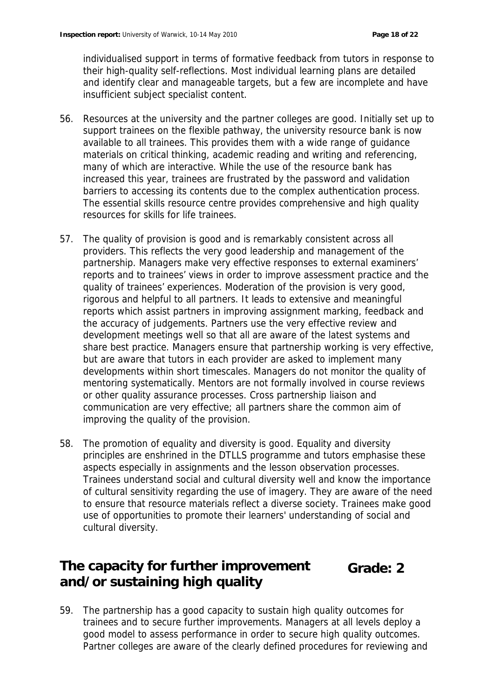individualised support in terms of formative feedback from tutors in response to their high-quality self-reflections. Most individual learning plans are detailed and identify clear and manageable targets, but a few are incomplete and have insufficient subject specialist content.

- 56. Resources at the university and the partner colleges are good. Initially set up to support trainees on the flexible pathway, the university resource bank is now available to all trainees. This provides them with a wide range of guidance materials on critical thinking, academic reading and writing and referencing, many of which are interactive. While the use of the resource bank has increased this year, trainees are frustrated by the password and validation barriers to accessing its contents due to the complex authentication process. The essential skills resource centre provides comprehensive and high quality resources for skills for life trainees.
- 57. The quality of provision is good and is remarkably consistent across all providers. This reflects the very good leadership and management of the partnership. Managers make very effective responses to external examiners' reports and to trainees' views in order to improve assessment practice and the quality of trainees' experiences. Moderation of the provision is very good, rigorous and helpful to all partners. It leads to extensive and meaningful reports which assist partners in improving assignment marking, feedback and the accuracy of judgements. Partners use the very effective review and development meetings well so that all are aware of the latest systems and share best practice. Managers ensure that partnership working is very effective, but are aware that tutors in each provider are asked to implement many developments within short timescales. Managers do not monitor the quality of mentoring systematically. Mentors are not formally involved in course reviews or other quality assurance processes. Cross partnership liaison and communication are very effective; all partners share the common aim of improving the quality of the provision.
- 58. The promotion of equality and diversity is good. Equality and diversity principles are enshrined in the DTLLS programme and tutors emphasise these aspects especially in assignments and the lesson observation processes. Trainees understand social and cultural diversity well and know the importance of cultural sensitivity regarding the use of imagery. They are aware of the need to ensure that resource materials reflect a diverse society. Trainees make good use of opportunities to promote their learners' understanding of social and cultural diversity.

### **The capacity for further improvement and/or sustaining high quality Grade: 2**

59. The partnership has a good capacity to sustain high quality outcomes for trainees and to secure further improvements. Managers at all levels deploy a good model to assess performance in order to secure high quality outcomes. Partner colleges are aware of the clearly defined procedures for reviewing and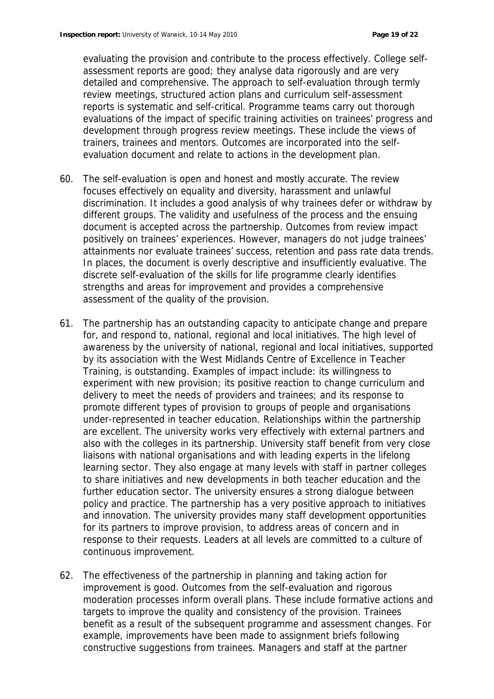evaluating the provision and contribute to the process effectively. College selfassessment reports are good; they analyse data rigorously and are very detailed and comprehensive. The approach to self-evaluation through termly review meetings, structured action plans and curriculum self-assessment reports is systematic and self-critical. Programme teams carry out thorough evaluations of the impact of specific training activities on trainees' progress and development through progress review meetings. These include the views of trainers, trainees and mentors. Outcomes are incorporated into the selfevaluation document and relate to actions in the development plan.

- 60. The self-evaluation is open and honest and mostly accurate. The review focuses effectively on equality and diversity, harassment and unlawful discrimination. It includes a good analysis of why trainees defer or withdraw by different groups. The validity and usefulness of the process and the ensuing document is accepted across the partnership. Outcomes from review impact positively on trainees' experiences. However, managers do not judge trainees' attainments nor evaluate trainees' success, retention and pass rate data trends. In places, the document is overly descriptive and insufficiently evaluative. The discrete self-evaluation of the skills for life programme clearly identifies strengths and areas for improvement and provides a comprehensive assessment of the quality of the provision.
- 61. The partnership has an outstanding capacity to anticipate change and prepare for, and respond to, national, regional and local initiatives. The high level of awareness by the university of national, regional and local initiatives, supported by its association with the West Midlands Centre of Excellence in Teacher Training, is outstanding. Examples of impact include: its willingness to experiment with new provision; its positive reaction to change curriculum and delivery to meet the needs of providers and trainees; and its response to promote different types of provision to groups of people and organisations under-represented in teacher education. Relationships within the partnership are excellent. The university works very effectively with external partners and also with the colleges in its partnership. University staff benefit from very close liaisons with national organisations and with leading experts in the lifelong learning sector. They also engage at many levels with staff in partner colleges to share initiatives and new developments in both teacher education and the further education sector. The university ensures a strong dialogue between policy and practice. The partnership has a very positive approach to initiatives and innovation. The university provides many staff development opportunities for its partners to improve provision, to address areas of concern and in response to their requests. Leaders at all levels are committed to a culture of continuous improvement.
- 62. The effectiveness of the partnership in planning and taking action for improvement is good. Outcomes from the self-evaluation and rigorous moderation processes inform overall plans. These include formative actions and targets to improve the quality and consistency of the provision. Trainees benefit as a result of the subsequent programme and assessment changes. For example, improvements have been made to assignment briefs following constructive suggestions from trainees. Managers and staff at the partner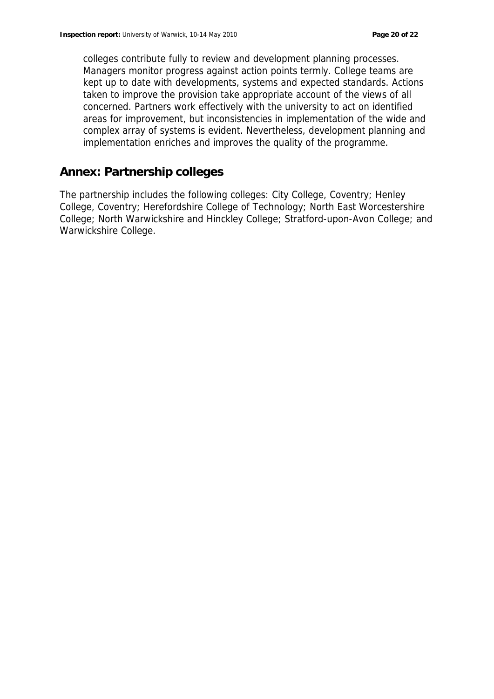colleges contribute fully to review and development planning processes. Managers monitor progress against action points termly. College teams are kept up to date with developments, systems and expected standards. Actions taken to improve the provision take appropriate account of the views of all concerned. Partners work effectively with the university to act on identified areas for improvement, but inconsistencies in implementation of the wide and complex array of systems is evident. Nevertheless, development planning and implementation enriches and improves the quality of the programme.

### **Annex: Partnership colleges**

The partnership includes the following colleges: City College, Coventry; Henley College, Coventry; Herefordshire College of Technology; North East Worcestershire College; North Warwickshire and Hinckley College; Stratford-upon-Avon College; and Warwickshire College.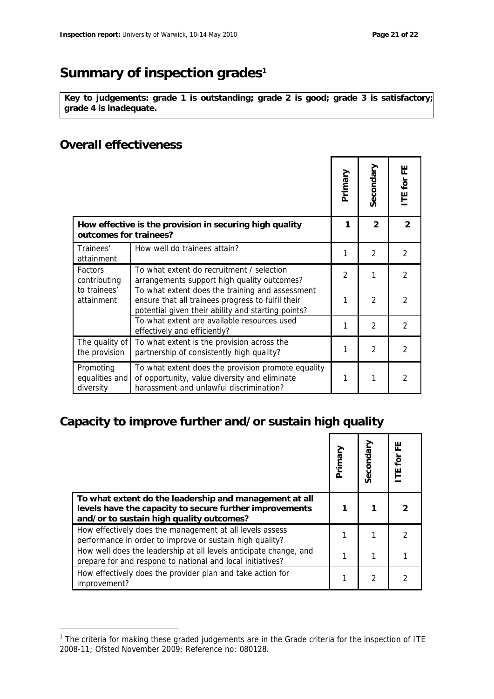# Summary of inspection grades<sup>1</sup>

**Key to judgements: grade 1 is outstanding; grade 2 is good; grade 3 is satisfactory; grade 4 is inadequate.**

### **Overall effectiveness**

-

|                                                                                   |                                                                                                                                                            | Primary       | Secondary      | ш<br>Щ<br>TE for |
|-----------------------------------------------------------------------------------|------------------------------------------------------------------------------------------------------------------------------------------------------------|---------------|----------------|------------------|
| How effective is the provision in securing high quality<br>outcomes for trainees? |                                                                                                                                                            | 1             | $\mathcal{P}$  | 2                |
| Trainees'<br>attainment                                                           | How well do trainees attain?                                                                                                                               | 1             | $\mathfrak{D}$ | 2                |
| <b>Factors</b><br>contributing<br>to trainees'<br>attainment                      | To what extent do recruitment / selection<br>arrangements support high quality outcomes?                                                                   | $\mathcal{P}$ | 1              | $\mathfrak{D}$   |
|                                                                                   | To what extent does the training and assessment<br>ensure that all trainees progress to fulfil their<br>potential given their ability and starting points? | 1             | $\mathfrak{D}$ | $\mathcal{P}$    |
|                                                                                   | To what extent are available resources used<br>effectively and efficiently?                                                                                | 1             | $\mathfrak{D}$ | $\mathcal{P}$    |
| The quality of<br>the provision                                                   | To what extent is the provision across the<br>partnership of consistently high quality?                                                                    | 1             | $\mathfrak{D}$ | $\mathfrak{D}$   |
| Promoting<br>equalities and<br>diversity                                          | To what extent does the provision promote equality<br>of opportunity, value diversity and eliminate<br>harassment and unlawful discrimination?             | 1             | 1              | $\mathcal{P}$    |

# **Capacity to improve further and/or sustain high quality**

|                                                                                                                                                               | Primary | Secondary | 出<br><b>ITE</b> for |
|---------------------------------------------------------------------------------------------------------------------------------------------------------------|---------|-----------|---------------------|
| To what extent do the leadership and management at all<br>levels have the capacity to secure further improvements<br>and/or to sustain high quality outcomes? |         |           |                     |
| How effectively does the management at all levels assess<br>performance in order to improve or sustain high quality?                                          |         |           |                     |
| How well does the leadership at all levels anticipate change, and<br>prepare for and respond to national and local initiatives?                               |         |           |                     |
| How effectively does the provider plan and take action for<br>improvement?                                                                                    |         | 2         |                     |

<sup>1</sup> The criteria for making these graded judgements are in the *Grade criteria for the inspection of ITE 2008-11*; Ofsted November 2009; Reference no: 080128.